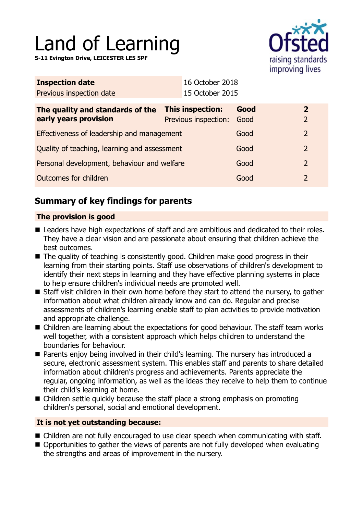# Land of Learning

**5-11 Evington Drive, LEICESTER LE5 5PF**



| <b>Inspection date</b>                                    | 16 October 2018                                 |              |                                           |
|-----------------------------------------------------------|-------------------------------------------------|--------------|-------------------------------------------|
| Previous inspection date                                  | 15 October 2015                                 |              |                                           |
| The quality and standards of the<br>early years provision | <b>This inspection:</b><br>Previous inspection: | Good<br>Good | $\overline{\mathbf{2}}$<br>$\overline{2}$ |
| Effectiveness of leadership and management                |                                                 | Good         | $\overline{2}$                            |
| Quality of teaching, learning and assessment              |                                                 | Good         | $\overline{2}$                            |
| Personal development, behaviour and welfare               |                                                 | Good         | $\overline{2}$                            |
| Outcomes for children                                     |                                                 | Good         | $\overline{2}$                            |

# **Summary of key findings for parents**

## **The provision is good**

- Leaders have high expectations of staff and are ambitious and dedicated to their roles. They have a clear vision and are passionate about ensuring that children achieve the best outcomes.
- $\blacksquare$  The quality of teaching is consistently good. Children make good progress in their learning from their starting points. Staff use observations of children's development to identify their next steps in learning and they have effective planning systems in place to help ensure children's individual needs are promoted well.
- Staff visit children in their own home before they start to attend the nursery, to gather information about what children already know and can do. Regular and precise assessments of children's learning enable staff to plan activities to provide motivation and appropriate challenge.
- $\blacksquare$  Children are learning about the expectations for good behaviour. The staff team works well together, with a consistent approach which helps children to understand the boundaries for behaviour.
- Parents enjoy being involved in their child's learning. The nursery has introduced a secure, electronic assessment system. This enables staff and parents to share detailed information about children's progress and achievements. Parents appreciate the regular, ongoing information, as well as the ideas they receive to help them to continue their child's learning at home.
- $\blacksquare$  Children settle quickly because the staff place a strong emphasis on promoting children's personal, social and emotional development.

## **It is not yet outstanding because:**

- Children are not fully encouraged to use clear speech when communicating with staff.
- $\blacksquare$  Opportunities to gather the views of parents are not fully developed when evaluating the strengths and areas of improvement in the nursery.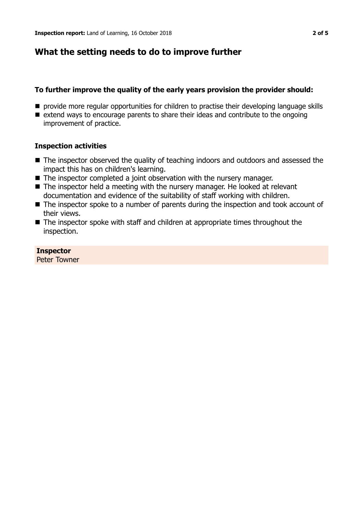# **What the setting needs to do to improve further**

## **To further improve the quality of the early years provision the provider should:**

- **n** provide more regular opportunities for children to practise their developing language skills
- $\blacksquare$  extend ways to encourage parents to share their ideas and contribute to the ongoing improvement of practice.

#### **Inspection activities**

- The inspector observed the quality of teaching indoors and outdoors and assessed the impact this has on children's learning.
- $\blacksquare$  The inspector completed a joint observation with the nursery manager.
- $\blacksquare$  The inspector held a meeting with the nursery manager. He looked at relevant documentation and evidence of the suitability of staff working with children.
- $\blacksquare$  The inspector spoke to a number of parents during the inspection and took account of their views.
- $\blacksquare$  The inspector spoke with staff and children at appropriate times throughout the inspection.

#### **Inspector**

Peter Towner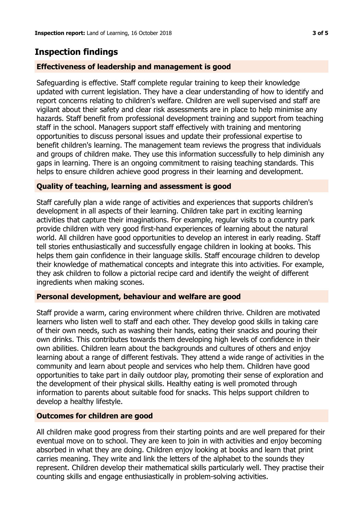# **Inspection findings**

### **Effectiveness of leadership and management is good**

Safeguarding is effective. Staff complete regular training to keep their knowledge updated with current legislation. They have a clear understanding of how to identify and report concerns relating to children's welfare. Children are well supervised and staff are vigilant about their safety and clear risk assessments are in place to help minimise any hazards. Staff benefit from professional development training and support from teaching staff in the school. Managers support staff effectively with training and mentoring opportunities to discuss personal issues and update their professional expertise to benefit children's learning. The management team reviews the progress that individuals and groups of children make. They use this information successfully to help diminish any gaps in learning. There is an ongoing commitment to raising teaching standards. This helps to ensure children achieve good progress in their learning and development.

#### **Quality of teaching, learning and assessment is good**

Staff carefully plan a wide range of activities and experiences that supports children's development in all aspects of their learning. Children take part in exciting learning activities that capture their imaginations. For example, regular visits to a country park provide children with very good first-hand experiences of learning about the natural world. All children have good opportunities to develop an interest in early reading. Staff tell stories enthusiastically and successfully engage children in looking at books. This helps them gain confidence in their language skills. Staff encourage children to develop their knowledge of mathematical concepts and integrate this into activities. For example, they ask children to follow a pictorial recipe card and identify the weight of different ingredients when making scones.

#### **Personal development, behaviour and welfare are good**

Staff provide a warm, caring environment where children thrive. Children are motivated learners who listen well to staff and each other. They develop good skills in taking care of their own needs, such as washing their hands, eating their snacks and pouring their own drinks. This contributes towards them developing high levels of confidence in their own abilities. Children learn about the backgrounds and cultures of others and enjoy learning about a range of different festivals. They attend a wide range of activities in the community and learn about people and services who help them. Children have good opportunities to take part in daily outdoor play, promoting their sense of exploration and the development of their physical skills. Healthy eating is well promoted through information to parents about suitable food for snacks. This helps support children to develop a healthy lifestyle.

#### **Outcomes for children are good**

All children make good progress from their starting points and are well prepared for their eventual move on to school. They are keen to join in with activities and enjoy becoming absorbed in what they are doing. Children enjoy looking at books and learn that print carries meaning. They write and link the letters of the alphabet to the sounds they represent. Children develop their mathematical skills particularly well. They practise their counting skills and engage enthusiastically in problem-solving activities.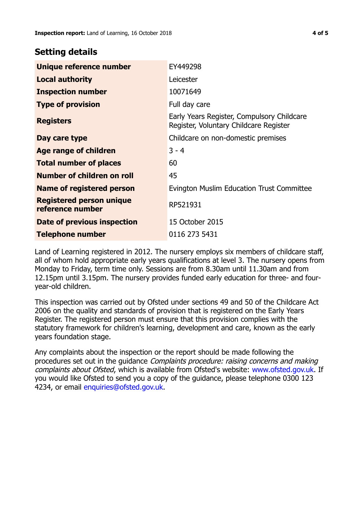# **Setting details**

| Unique reference number                             | EY449298                                                                             |  |
|-----------------------------------------------------|--------------------------------------------------------------------------------------|--|
| <b>Local authority</b>                              | Leicester                                                                            |  |
| <b>Inspection number</b>                            | 10071649                                                                             |  |
| <b>Type of provision</b>                            | Full day care                                                                        |  |
| <b>Registers</b>                                    | Early Years Register, Compulsory Childcare<br>Register, Voluntary Childcare Register |  |
| Day care type                                       | Childcare on non-domestic premises                                                   |  |
| Age range of children                               | $3 - 4$                                                                              |  |
| <b>Total number of places</b>                       | 60                                                                                   |  |
| Number of children on roll                          | 45                                                                                   |  |
| Name of registered person                           | Evington Muslim Education Trust Committee                                            |  |
| <b>Registered person unique</b><br>reference number | RP521931                                                                             |  |
| Date of previous inspection                         | 15 October 2015                                                                      |  |
| Telephone number                                    | 0116 273 5431                                                                        |  |

Land of Learning registered in 2012. The nursery employs six members of childcare staff, all of whom hold appropriate early years qualifications at level 3. The nursery opens from Monday to Friday, term time only. Sessions are from 8.30am until 11.30am and from 12.15pm until 3.15pm. The nursery provides funded early education for three- and fouryear-old children.

This inspection was carried out by Ofsted under sections 49 and 50 of the Childcare Act 2006 on the quality and standards of provision that is registered on the Early Years Register. The registered person must ensure that this provision complies with the statutory framework for children's learning, development and care, known as the early years foundation stage.

Any complaints about the inspection or the report should be made following the procedures set out in the guidance Complaints procedure: raising concerns and making complaints about Ofsted, which is available from Ofsted's website: www.ofsted.gov.uk. If you would like Ofsted to send you a copy of the guidance, please telephone 0300 123 4234, or email [enquiries@ofsted.gov.uk.](mailto:enquiries@ofsted.gov.uk)